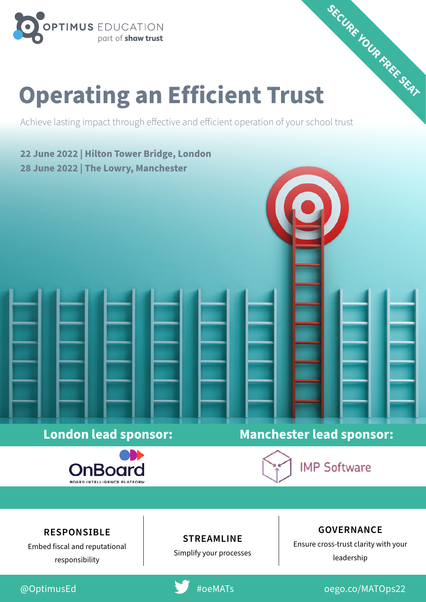

# **Operating an Efficient Trust SECURE YOUR FREE SEAT**

Achieve lasting impact through effective and efficient operation of your school trust

**22 June 2022 | Hilton Tower Bridge, London 28 June 2022 | The Lowry, Manchester**



### **London lead sponsor: Manchester lead sponsor:**

**IMP Software** 

#### **RESPONSIBLE**

Embed fiscal and reputational responsibility

#### **STREAMLINE**

Simplify your processes

#### **GOVERNANCE**

Ensure cross-trust clarity with your leadership



@OptimusEd #oeMATs [oego.co/MATOps22](http://oego.co/MATOps22)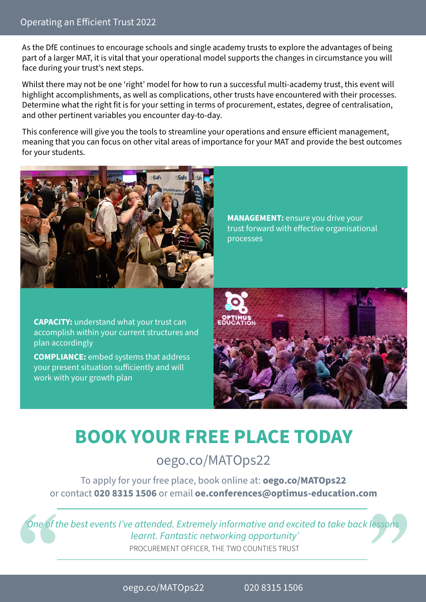As the DfE continues to encourage schools and single academy trusts to explore the advantages of being part of a larger MAT, it is vital that your operational model supports the changes in circumstance you will face during your trust's next steps.

Whilst there may not be one 'right' model for how to run a successful multi-academy trust, this event will highlight accomplishments, as well as complications, other trusts have encountered with their processes. Determine what the right fit is for your setting in terms of procurement, estates, degree of centralisation, and other pertinent variables you encounter day-to-day.

This conference will give you the tools to streamline your operations and ensure efficient management, meaning that you can focus on other vital areas of importance for your MAT and provide the best outcomes for your students.



**MANAGEMENT:** ensure you drive your trust forward with effective organisational processes

**CAPACITY:** understand what your trust can accomplish within your current structures and plan accordingly

**COMPLIANCE:** embed systems that address your present situation sufficiently and will work with your growth plan



## **[BOOK YOUR FREE PLACE TODAY](http://oego.co/MATOps22)**

#### [oego.co/MATOps22](http://oego.co/MATOps22)

To apply for your free place, book online at: **oego.co/MATOps22** or contact **020 8315 1506** or email **oe.conferences@optimus-education.com**

*'One of the best events I've attended. Extremely informative and excited to take back lessons learnt. Fantastic networking opportunity'* PROCUREMENT OFFICER, THE TWO COUNTIES TRUST

[oego.co/MATOps22](http://oego.co/MATOps22) 020 8315 1506